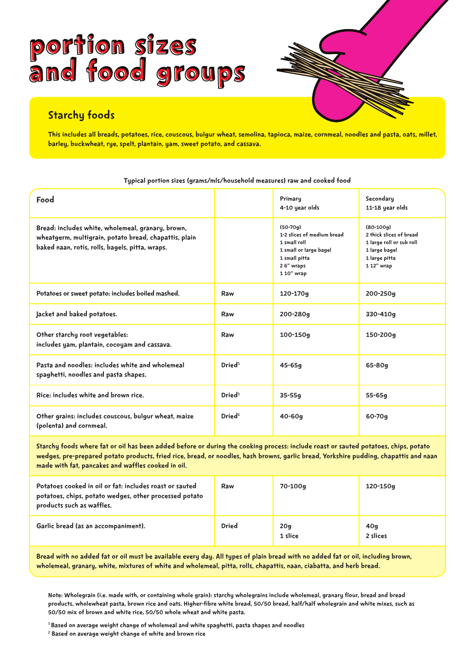# Portion sizes and food groups Portion sizes and food groups



This includes all breads, potatoes, rice, couscous, bulgur wheat, semolina, tapioca, maize, cornmeal, noodles and pasta, oats, millet, barley, buckwheat, rye, spelt, plantain, yam, sweet potato, and cassava.

| Food                                                                                                                                                          |                    | Primary<br>4-10 year olds                                                                                                      | Secondary<br>11-18 year olds                                                                                       |
|---------------------------------------------------------------------------------------------------------------------------------------------------------------|--------------------|--------------------------------------------------------------------------------------------------------------------------------|--------------------------------------------------------------------------------------------------------------------|
| Bread: includes white, wholemeal, granary, brown,<br>wheatgerm, multigrain, potato bread, chapattis, plain<br>baked naan, rotis, rolls, bagels, pitta, wraps. |                    | $(50-70q)$<br>1-2 slices of medium bread<br>1 small roll<br>1 small or large bagel<br>1 small pitta<br>26" wraps<br>1 10" wrap | $(80-100q)$<br>2 thick slices of bread<br>1 large roll or sub roll<br>1 large bagel<br>1 large pitta<br>1 12" wrap |
| Potatoes or sweet potato: includes boiled mashed.                                                                                                             | Raw                | 120-170g                                                                                                                       | 200-250g                                                                                                           |
| Jacket and baked potatoes.                                                                                                                                    | Raw                | 200-280g                                                                                                                       | 330-410g                                                                                                           |
| Other starchy root vegetables:<br>includes yam, plantain, cocoyam and cassava.                                                                                | Raw                | $100 - 150q$                                                                                                                   | 150-200g                                                                                                           |
| Pasta and noodles: includes white and wholemeal<br>spaghetti, noodles and pasta shapes.                                                                       | Dried <sup>1</sup> | $45 - 65g$                                                                                                                     | 65-80g                                                                                                             |
| Rice: includes white and brown rice.                                                                                                                          | Dried <sup>1</sup> | $35 - 55g$                                                                                                                     | $55 - 65g$                                                                                                         |
| Other grains: includes couscous, bulgur wheat, maize<br>(polenta) and cornmeal.                                                                               | Dried <sup>1</sup> | $40 - 60q$                                                                                                                     | $60 - 70q$                                                                                                         |

Typical portion sizes (grams/mls/household measures) raw and cooked food

Starchy foods where fat or oil has been added before or during the cooking process: include roast or sauted potatoes, chips, potato wedges, pre-prepared potato products, fried rice, bread, or noodles, hash browns, garlic bread, Yorkshire pudding, chapattis and naan made with fat, pancakes and waffles cooked in oil.

| Potatoes cooked in oil or fat: includes roast or sauted<br>potatoes, chips, potato wedges, other processed potato<br>products such as waffles. | Raw          | 70-100g        | 120-150g        |
|------------------------------------------------------------------------------------------------------------------------------------------------|--------------|----------------|-----------------|
| Garlic bread (as an accompaniment).                                                                                                            | <b>Dried</b> | 20g<br>1 slice | 40g<br>2 slices |

Bread with no added fat or oil must be available every day. All types of plain bread with no added fat or oil, including brown, wholemeal, granary, white, mixtures of white and wholemeal, pitta, rolls, chapattis, naan, ciabatta, and herb bread.

Note: Wholegrain (i.e. made with, or containing whole grain): starchy wholegrains include wholemeal, granary flour, bread and bread products, wholewheat pasta, brown rice and oats. Higher-fibre white bread, 50/50 bread, half/half wholegrain and white mixes, such as 50/50 mix of brown and white rice, 50/50 whole wheat and white pasta.

1 Based on average weight change of wholemeal and white spaghetti, pasta shapes and noodles

 $^{\rm 2}$  Based on average weight change of white and brown rice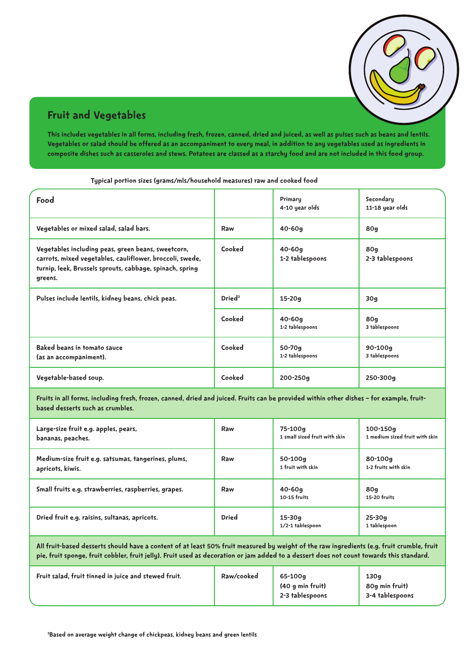### Fruit and Vegetables

This includes vegetables in all forms, including fresh, frozen, canned, dried and juiced, as well as pulses such as beans and lentils. Vegetables or salad should be offered as an accompaniment to every meal, in addition to any vegetables used as ingredients in composite dishes such as casseroles and stews. Potatoes are classed as a starchy food and are not included in this food group.

| Food                                                                                                                                                                                  |                    | Primary<br>4-10 year olds                | Secondary<br>11-18 year olds               |
|---------------------------------------------------------------------------------------------------------------------------------------------------------------------------------------|--------------------|------------------------------------------|--------------------------------------------|
| Vegetables or mixed salad, salad bars.                                                                                                                                                | Raw                | $40 - 60q$                               | 80g                                        |
| Vegetables including peas, green beans, sweetcorn,<br>carrots, mixed vegetables, cauliflower, broccoli, swede,<br>turnip, leek, Brussels sprouts, cabbage, spinach, spring<br>greens. | Cooked             | $40 - 60q$<br>1-2 tablespoons            | 80g<br>2-3 tablespoons                     |
| Pulses include lentils, kidney beans, chick peas.                                                                                                                                     | Dried <sup>3</sup> | $15-20q$                                 | 30q                                        |
|                                                                                                                                                                                       | Cooked             | $40 - 60q$<br>1-2 tablespoons            | <b>80g</b><br>3 tablespoons                |
| <b>Baked beans in tomato sauce</b><br>(as an accompaniment).                                                                                                                          | Cooked             | 50-70g<br>1-2 tablespoons                | 90-100g<br>3 tablespoons                   |
| Vegetable-based soup.                                                                                                                                                                 | Cooked             | 200-250g                                 | 250-300g                                   |
| Fruits in all forms, including fresh, frozen, canned, dried and juiced. Fruits can be provided within other dishes - for example, fruit-<br>based desserts such as crumbles.          |                    |                                          |                                            |
| Large-size fruit e.g. apples, pears,<br>bananas, peaches.                                                                                                                             | Raw                | 75-100g<br>1 small sized fruit with skin | 100-150g<br>1 medium sized fruit with skin |
| Medium-size fruit e.g. satsumas, tangerines, plums,<br>apricots, kiwis.                                                                                                               | Raw                | 50-100g<br>1 fruit with skin             | 80-100g<br>1-2 fruits with skin            |
| Small fruits e.g. strawberries, raspberries, grapes.                                                                                                                                  | Raw                | $40 - 60q$<br>10-15 fruits               | 80g<br>15-20 fruits                        |
| Dried fruit e.g. raisins, sultanas, apricots.                                                                                                                                         | Dried              | $15 - 30g$<br>1/2-1 tablespoon           | $25 - 30q$<br>1 tablespoon                 |

Typical portion sizes (grams/mls/household measures) raw and cooked food

All fruit-based desserts should have a content of at least 50% fruit measured by weight of the raw ingredients (e.g. fruit crumble, fruit pie, fruit sponge, fruit cobbler, fruit jelly). Fruit used as decoration or jam added to a dessert does not count towards this standard.

| Fruit salad, fruit tinned in juice and stewed fruit. | Raw/cooked | 65-100g<br>(40 g min fruit)<br>2-3 tablespoons | 130q<br>80g min fruit)<br>3-4 tablespoons |
|------------------------------------------------------|------------|------------------------------------------------|-------------------------------------------|
|                                                      |            |                                                |                                           |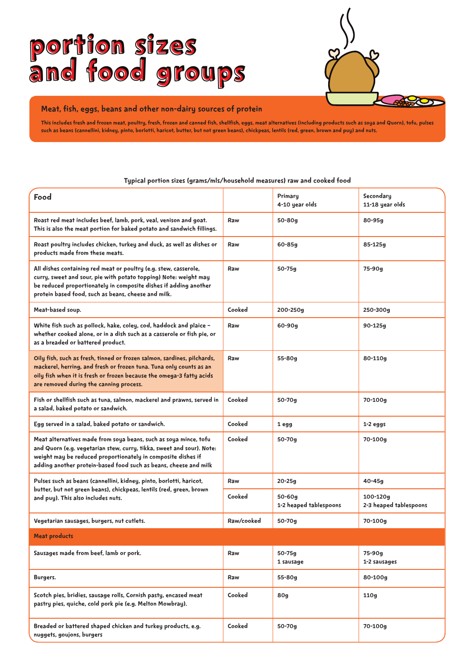# Portion sizes and food groups



#### Meat, fish, eggs, beans and other non-dairy sources of protein

This includes fresh and frozen meat, poultry, fresh, frozen and canned fish, shellfish, eggs, meat alternatives (including products such as soya and Quorn), tofu, pulses such as beans (cannellini, kidney, pinto, borlotti, haricot, butter, but not green beans), chickpeas, lentils (red, green, brown and puy) and nuts.

#### Typical portion sizes (grams/mls/household measures) raw and cooked food

| Food                                                                                                                                                                                                                                                                          |            | Primary<br>4-10 year olds        | Secondary<br>11-18 year olds           |
|-------------------------------------------------------------------------------------------------------------------------------------------------------------------------------------------------------------------------------------------------------------------------------|------------|----------------------------------|----------------------------------------|
| Roast red meat includes beef, lamb, pork, veal, venison and goat.<br>This is also the meat portion for baked potato and sandwich fillings.                                                                                                                                    | Raw        | 50-80g                           | 80-95g                                 |
| Roast poultry includes chicken, turkey and duck, as well as dishes or<br>products made from these meats.                                                                                                                                                                      | Raw        | 60-85g                           | 85-125g                                |
| All dishes containing red meat or poultry (e.g. stew, casserole,<br>curry, sweet and sour, pie with potato topping) Note: weight may<br>be reduced proportionately in composite dishes if adding another<br>protein based food, such as beans, cheese and milk.               | Raw        | 50-75g                           | 75-90g                                 |
| Meat-based soup.                                                                                                                                                                                                                                                              | Cooked     | 200-250g                         | 250-300g                               |
| White fish such as pollock, hake, coley, cod, haddock and plaice -<br>whether cooked alone, or in a dish such as a casserole or fish pie, or<br>as a breaded or battered product.                                                                                             | Raw        | $60 - 90g$                       | 90-125g                                |
| Oily fish, such as fresh, tinned or frozen salmon, sardines, pilchards,<br>mackerel, herring, and fresh or frozen tuna. Tuna only counts as an<br>oily fish when it is fresh or frozen because the omega-3 fatty acids<br>are removed during the canning process.             | Raw        | 55-80g                           | 80-110g                                |
| Fish or shellfish such as tuna, salmon, mackerel and prawns, served in<br>a salad, baked potato or sandwich.                                                                                                                                                                  | Cooked     | 50-70g                           | 70-100g                                |
| Egg served in a salad, baked potato or sandwich.                                                                                                                                                                                                                              | Cooked     | 1 egg                            | $1-2$ eggs                             |
| Meat alternatives made from soya beans, such as soya mince, tofu<br>and Quorn (e.g. vegetarian stew, curry, tikka, sweet and sour). Note:<br>weight may be reduced proportionately in composite dishes if<br>adding another protein-based food such as beans, cheese and milk | Cooked     | 50-70g                           | 70-100g                                |
| Pulses such as beans (cannellini, kidney, pinto, borlotti, haricot,                                                                                                                                                                                                           | Raw        | 20-25g                           | $40 - 45g$                             |
| butter, but not green beans), chickpeas, lentils (red, green, brown<br>and puy). This also includes nuts.                                                                                                                                                                     | Cooked     | 50-60g<br>1-2 heaped tablespoons | $100 - 120q$<br>2-3 heaped tablespoons |
| Vegetarian sausages, burgers, nut cutlets.                                                                                                                                                                                                                                    | Raw/cooked | 50-70g                           | 70-100g                                |
| <b>Meat products</b>                                                                                                                                                                                                                                                          |            |                                  |                                        |
| Sausages made from beef, lamb or pork.                                                                                                                                                                                                                                        | Raw        | $50 - 75g$<br>1 sausage          | 75-90g<br>1-2 sausages                 |
| Burgers.                                                                                                                                                                                                                                                                      | Raw        | 55-80g                           | 80-100g                                |
| Scotch pies, bridies, sausage rolls, Cornish pasty, encased meat<br>pastry pies, quiche, cold pork pie (e.g. Melton Mowbray).                                                                                                                                                 | Cooked     | 80g                              | 110g                                   |
| Breaded or battered shaped chicken and turkey products, e.g.<br>nuggets, goujons, burgers                                                                                                                                                                                     | Cooked     | 50-70g                           | 70-100g                                |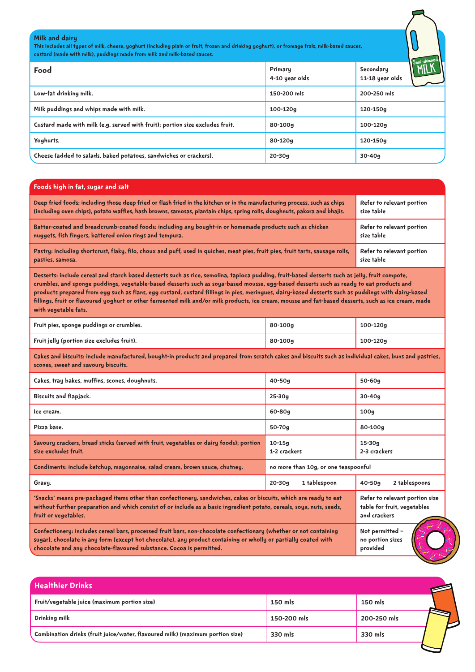#### Milk and dairy

This includes all types of milk, cheese, yoghurt (including plain or fruit, frozen and drinking yoghurt), or fromage frais, milk-based sauces, custard (made with milk), puddings made from milk and milk-based sauces.

| Food                                                                          | Primary<br>4-10 year olds | Semi-skimmen<br>Secondary<br><b>LIITII</b><br>11-18 year olds |
|-------------------------------------------------------------------------------|---------------------------|---------------------------------------------------------------|
| Low-fat drinking milk.                                                        | 150-200 mls               | 200-250 mls                                                   |
| Milk puddings and whips made with milk.                                       | 100-120g                  | 120-150g                                                      |
| Custard made with milk (e.g. served with fruit); portion size excludes fruit. | 80-100g                   | 100-120g                                                      |
| Yoghurts.                                                                     | 80-120g                   | 120-150g                                                      |
| Cheese (added to salads, baked potatoes, sandwiches or crackers).             | $20 - 30g$                | $30 - 40q$                                                    |

#### Foods high in fat, sugar and salt

| Deep fried foods: including those deep fried or flash fried in the kitchen or in the manufacturing process, such as chips      | Refer to relevant portion |
|--------------------------------------------------------------------------------------------------------------------------------|---------------------------|
| (including oven chips), potato waffles, hash browns, samosas, plantain chips, spring rolls, doughnuts, pakora and bhajis.      | size table                |
| Batter-coated and breadcrumb-coated foods: including any bought-in or homemade products such as chicken                        | Refer to relevant portion |
| nuggets, fish fingers, battered onion rings and tempura.                                                                       | size table                |
| Pastry: including shortcrust, flaky, filo, choux and puff, used in quiches, meat pies, fruit pies, fruit tarts, sausage rolls, | Refer to relevant portion |
| pasties, samosa.                                                                                                               | size table                |

Desserts: include cereal and starch based desserts such as rice, semolina, tapioca pudding, fruit-based desserts such as jelly, fruit compote, crumbles, and sponge puddings, vegetable-based desserts such as soya-based mousse, egg-based desserts such as ready to eat products and products prepared from egg such as flans, egg custard, custard fillings in pies, meringues, dairy-based desserts such as puddings with dairy-based fillings, fruit or flavoured yoghurt or other fermented milk and/or milk products, ice cream, mousse and fat-based desserts, such as ice cream, made with vegetable fats.

| Fruit pies, sponge puddings or crumbles.   | 80-100g | 100-120g     |
|--------------------------------------------|---------|--------------|
| Fruit jelly (portion size excludes fruit). | 80-100g | $100 - 120g$ |

Cakes and biscuits: include manufactured, bought-in products and prepared from scratch cakes and biscuits such as individual cakes, buns and pastries, scones, sweet and savoury biscuits.

| Cakes, tray bakes, muffins, scones, doughnuts.                                                                                                                                                                                                                                                                                                                  | $40 - 50g$                           | $50 - 60g$                                                                    |
|-----------------------------------------------------------------------------------------------------------------------------------------------------------------------------------------------------------------------------------------------------------------------------------------------------------------------------------------------------------------|--------------------------------------|-------------------------------------------------------------------------------|
| <b>Biscuits and flapjack.</b>                                                                                                                                                                                                                                                                                                                                   | $25 - 30g$                           | $30 - 40q$                                                                    |
| Ice cream.                                                                                                                                                                                                                                                                                                                                                      | 60-80g                               | 100q                                                                          |
| Pizza base.                                                                                                                                                                                                                                                                                                                                                     | $50 - 70g$                           | 80-100g                                                                       |
| Savoury crackers, bread sticks (served with fruit, vegetables or dairy foods); portion<br>size excludes fruit.                                                                                                                                                                                                                                                  | $10 - 15g$<br>1-2 crackers           | $15 - 30g$<br>2-3 crackers                                                    |
| Condiments: include ketchup, mayonnaise, salad cream, brown sauce, chutney.                                                                                                                                                                                                                                                                                     | no more than 10g, or one teaspoonful |                                                                               |
| Gravy.                                                                                                                                                                                                                                                                                                                                                          | 1 tablespoon<br>$20 - 30g$           | 2 tablespoons<br>$40 - 50q$                                                   |
| 'Snacks' means pre-packaged items other than confectionery, sandwiches, cakes or biscuits, which are ready to eat<br>without further preparation and which consist of or include as a basic ingredient potato, cereals, soya, nuts, seeds,<br>fruit or vegetables.                                                                                              |                                      | Refer to relevant portion size<br>table for fruit, vegetables<br>and crackers |
| Not permitted -<br>Confectionery: includes cereal bars, processed fruit bars, non-chocolate confectionary (whether or not containing<br>sugar), chocolate in any form (except hot chocolate), any product containing or wholly or partially coated with<br>no portion sizes<br>chocolate and any chocolate-flavoured substance. Cocoa is permitted.<br>provided |                                      |                                                                               |

Healthier Drinks Fruit/vegetable juice (maximum portion size) 150 mls 150 mls Drinking milk 150-200 mls 200-250 mls Combination drinks (fruit juice/water, flavoured milk) (maximum portion size) 330 mls 330 mls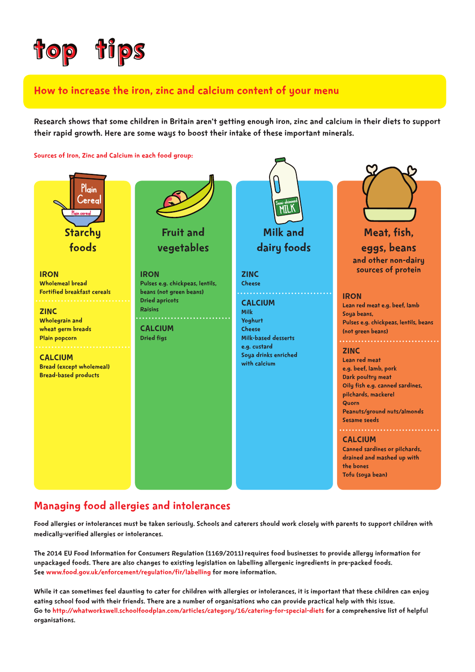

#### How to increase the iron, zinc and calcium content of your menu

Research shows that some children in Britain aren't getting enough iron, zinc and calcium in their diets to support their rapid growth. Here are some ways to boost their intake of these important minerals.





#### Managing food allergies and intolerances

Food allergies or intolerances must be taken seriously. Schools and caterers should work closely with parents to support children with medically-verified allergies or intolerances.

The 2014 EU Food Information for Consumers Regulation (1169/2011)requires food businesses to provide allergy information for unpackaged foods. There are also changes to existing legislation on labelling allergenic ingredients in pre-packed foods. See [www.food.gov.uk/enforcement/regulation/fir/labelling](http://www.food.gov.uk/enforcement/regulation/fir/labelling) for more information.

While it can sometimes feel daunting to cater for children with allergies or intolerances, it is important that these children can enjoy eating school food with their friends. There are a number of organisations who can provide practical help with this issue. Go to <http://whatworkswell.schoolfoodplan.com/articles/category/16/catering-for-special-diets> for a comprehensive list of helpful organisations.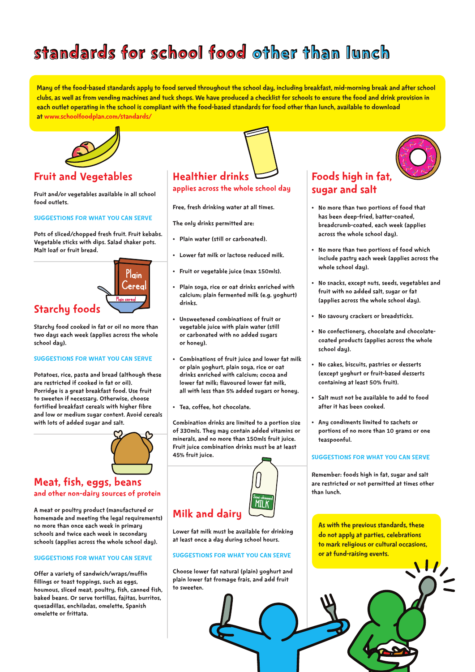### standards for school food other than lunch

Many of the food-based standards apply to food served throughout the school day, including breakfast, mid-morning break and after school clubs, as well as from vending machines and tuck shops. We have produced a checklist for schools to ensure the food and drink provision in each outlet operating in the school is compliant with the food-based standards for food other than lunch, available to download at [www.schoolfoodplan.com/standards/](http://www.schoolfoodplan.com/standards/)



#### Fruit and Vegetables

Fruit and/or vegetables available in all school food outlets.

#### SUGGESTIONS FOR WHAT YOU CAN SERVE

Pots of sliced/chopped fresh fruit. Fruit kebabs. Vegetable sticks with dips. Salad shaker pots. Malt loaf or fruit bread.



Starchy food cooked in fat or oil no more than two days each week (applies across the whole school day).

#### SUGGESTIONS FOR WHAT YOU CAN SERVE

Potatoes, rice, pasta and bread (although these are restricted if cooked in fat or oil). Porridge is a great breakfast food. Use fruit to sweeten if necessary. Otherwise, choose fortified breakfast cereals with higher fibre and low or medium sugar content. Avoid cereals with lots of added sugar and salt.



#### Meat, fish, eggs, beans and other non-dairy sources of protein

A meat or poultry product (manufactured or homemade and meeting the legal requirements) no more than once each week in primary schools and twice each week in secondary schools (applies across the whole school day).

#### SUGGESTIONS FOR WHAT YOU CAN SERVE

Offer a variety of sandwich/wraps/muffin fillings or toast toppings, such as eggs, houmous, sliced meat, poultry, fish, canned fish, baked beans. Or serve tortillas, fajitas, burritos, quesadillas, enchiladas, omelette, Spanish omelette or frittata.

### Healthier drinks

applies across the whole school day

Free, fresh drinking water at all times.

The only drinks permitted are:

- • Plain water (still or carbonated).
- • Lower fat milk or lactose reduced milk.
- • Fruit or vegetable juice (max 150mls).
- • Plain soya, rice or oat drinks enriched with calcium; plain fermented milk (e.g. yoghurt) drinks.
- • Unsweetened combinations of fruit or vegetable juice with plain water (still or carbonated with no added sugars or honey).
- • Combinations of fruit juice and lower fat milk or plain yoghurt, plain soya, rice or oat drinks enriched with calcium; cocoa and lower fat milk; flavoured lower fat milk, all with less than 5% added sugars or honey.
- • Tea, coffee, hot chocolate.

Combination drinks are limited to a portion size of 330mls. They may contain added vitamins or minerals, and no more than 150mls fruit juice. Fruit juice combination drinks must be at least 45% fruit juice.



Lower fat milk must be available for drinking at least once a day during school hours.

#### SUGGESTIONS FOR WHAT YOU CAN SERVE

Choose lower fat natural (plain) yoghurt and plain lower fat fromage frais, and add fruit to sweeten.

#### Foods high in fat, sugar and salt

- • No more than two portions of food that has been deep-fried, batter-coated, breadcrumb-coated, each week (applies across the whole school day).
- No more than two portions of food which include pastry each week (applies across the whole school day).
- • No snacks, except nuts, seeds, vegetables and fruit with no added salt, sugar or fat (applies across the whole school day).
- • No savoury crackers or breadsticks.
- No confectionery, chocolate and chocolatecoated products (applies across the whole school day).
- • No cakes, biscuits, pastries or desserts (except yoghurt or fruit-based desserts containing at least 50% fruit).
- • Salt must not be available to add to food after it has been cooked.
- • Any condiments limited to sachets or portions of no more than 10 grams or one teaspoonful.

#### SUGGESTIONS FOR WHAT YOU CAN SERVE

Remember: foods high in fat, sugar and salt are restricted or not permitted at times other than lunch.

As with the previous standards, these do not apply at parties, celebrations to mark religious or cultural occasions, or at fund-raising events.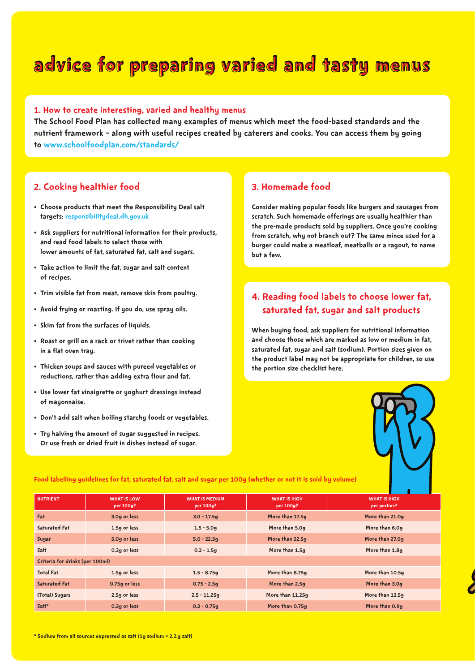### advice for preparing varied and tasty menus

#### 1. How to create interesting, varied and healthy menus

The School Food Plan has collected many examples of menus which meet the food-based standards and the nutrient framework – along with useful recipes created by caterers and cooks. You can access them by going to [www.schoolfoodplan.com/standards/](http://www.schoolfoodplan.com/standards/)

#### 2. Cooking healthier food

- • Choose products that meet the Responsibility Deal salt targets: [responsibilitydeal.dh.gov.uk](https://responsibilitydeal.dh.gov.uk)
- • Ask suppliers for nutritional information for their products, and read food labels to select those with lower amounts of fat, saturated fat, salt and sugars.
- • Take action to limit the fat, sugar and salt content of recipes.
- • Trim visible fat from meat, remove skin from poultry.
- • Avoid frying or roasting. If you do, use spray oils.
- • Skim fat from the surfaces of liquids.
- • Roast or grill on a rack or trivet rather than cooking in a flat oven tray.
- • Thicken soups and sauces with pureed vegetables or reductions, rather than adding extra flour and fat.
- • Use lower fat vinaigrette or yoghurt dressings instead of mayonnaise.
- • Don't add salt when boiling starchy foods or vegetables.
- • Try halving the amount of sugar suggested in recipes. Or use fresh or dried fruit in dishes instead of sugar.

#### 3. Homemade food

Consider making popular foods like burgers and sausages from scratch. Such homemade offerings are usually healthier than the pre-made products sold by suppliers. Once you're cooking from scratch, why not branch out? The same mince used for a burger could make a meatloaf, meatballs or a ragout, to name but a few.

#### 4. Reading food labels to choose lower fat, saturated fat, sugar and salt products

When buying food, ask suppliers for nutritional information and choose those which are marked as low or medium in fat, saturated fat, sugar and salt (sodium). Portion sizes given on the product label may not be appropriate for children, so use the portion size checklist here.



| <b>NUTRIENT</b>                 | <b>WHAT IS LOW</b><br>per 100g? | <b>WHAT IS MEDIUM</b><br>per 100g? | <b>WHAT IS HIGH</b><br>per 100g? | <b>WHAT IS HIGH</b><br>per portion? |
|---------------------------------|---------------------------------|------------------------------------|----------------------------------|-------------------------------------|
| Fat                             | 3.0g or less                    | $3.0 - 17.5g$                      | More than 17.5g                  | More than 21.0g                     |
| <b>Saturated Fat</b>            | 1.5g or less                    | $1.5 - 5.0g$                       | More than 5.0g                   | More than 6.0g                      |
| Sugar                           | 5.0g or less                    | $5.0 - 22.59$                      | More than 22.5g                  | More than 27.0g                     |
| Salt                            | 0.3g or less                    | $0.3 - 1.5g$                       | More than 1.5g                   | More than 1.8g                      |
| Criteria for drinks (per 100ml) |                                 |                                    |                                  |                                     |
| <b>Total Fat</b>                | 1.5g or less                    | $1.5 - 8.75g$                      | More than 8.75g                  | More than 10.5g                     |
| <b>Saturated Fat</b>            | 0.75g or less                   | $0.75 - 2.5g$                      | More than 2.5g                   | More than 3.0g                      |
| (Total) Sugars                  | 2.5g or less                    | $2.5 - 11.25g$                     | More than 11.25g                 | More than 13.5g                     |
| Salt*                           | 0.3g or less                    | $0.3 - 0.75g$                      | More than 0.75g                  | More than 0.9g                      |

Food labelling guidelines for fat, saturated fat, salt and sugar per 100g (whether or not it is sold by volume)

\* Sodium from all sources expressed as salt (1g sodium = 2.2.g salt)